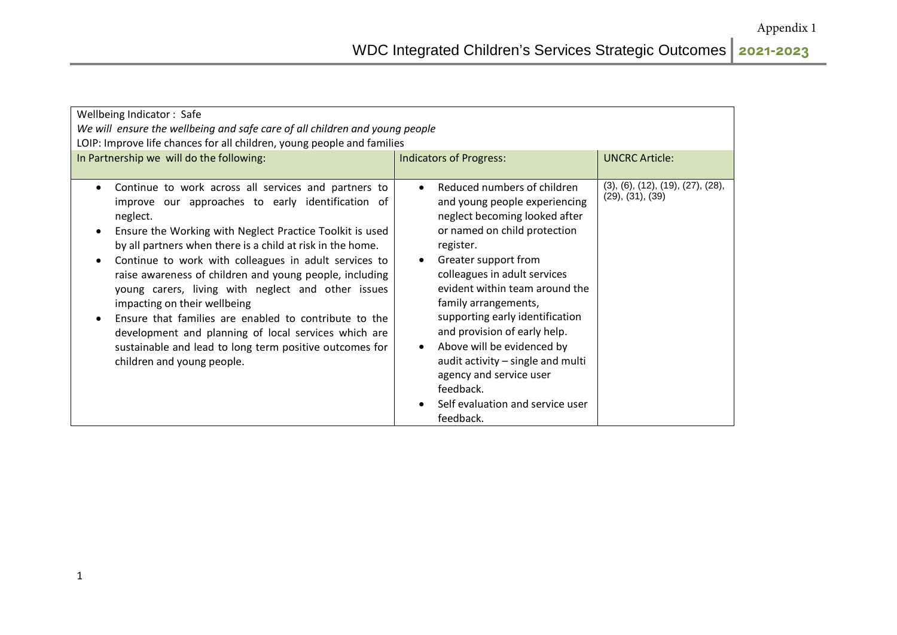| Wellbeing Indicator: Safe<br>We will ensure the wellbeing and safe care of all children and young people<br>LOIP: Improve life chances for all children, young people and families                                                                                                                                                                                                                                                                                                                                                                                                                                                                                  |                                                                                                                                                                                                                                                                                                                                                                                                                                                                                                                                    |                                                       |  |
|---------------------------------------------------------------------------------------------------------------------------------------------------------------------------------------------------------------------------------------------------------------------------------------------------------------------------------------------------------------------------------------------------------------------------------------------------------------------------------------------------------------------------------------------------------------------------------------------------------------------------------------------------------------------|------------------------------------------------------------------------------------------------------------------------------------------------------------------------------------------------------------------------------------------------------------------------------------------------------------------------------------------------------------------------------------------------------------------------------------------------------------------------------------------------------------------------------------|-------------------------------------------------------|--|
| In Partnership we will do the following:                                                                                                                                                                                                                                                                                                                                                                                                                                                                                                                                                                                                                            | <b>Indicators of Progress:</b>                                                                                                                                                                                                                                                                                                                                                                                                                                                                                                     | <b>UNCRC Article:</b>                                 |  |
| Continue to work across all services and partners to<br>improve our approaches to early identification of<br>neglect.<br>Ensure the Working with Neglect Practice Toolkit is used<br>by all partners when there is a child at risk in the home.<br>Continue to work with colleagues in adult services to<br>raise awareness of children and young people, including<br>young carers, living with neglect and other issues<br>impacting on their wellbeing<br>Ensure that families are enabled to contribute to the<br>development and planning of local services which are<br>sustainable and lead to long term positive outcomes for<br>children and young people. | Reduced numbers of children<br>$\bullet$<br>and young people experiencing<br>neglect becoming looked after<br>or named on child protection<br>register.<br>Greater support from<br>$\bullet$<br>colleagues in adult services<br>evident within team around the<br>family arrangements,<br>supporting early identification<br>and provision of early help.<br>Above will be evidenced by<br>$\bullet$<br>audit activity - single and multi<br>agency and service user<br>feedback.<br>Self evaluation and service user<br>feedback. | (3), (6), (12), (19), (27), (28),<br>(29), (31), (39) |  |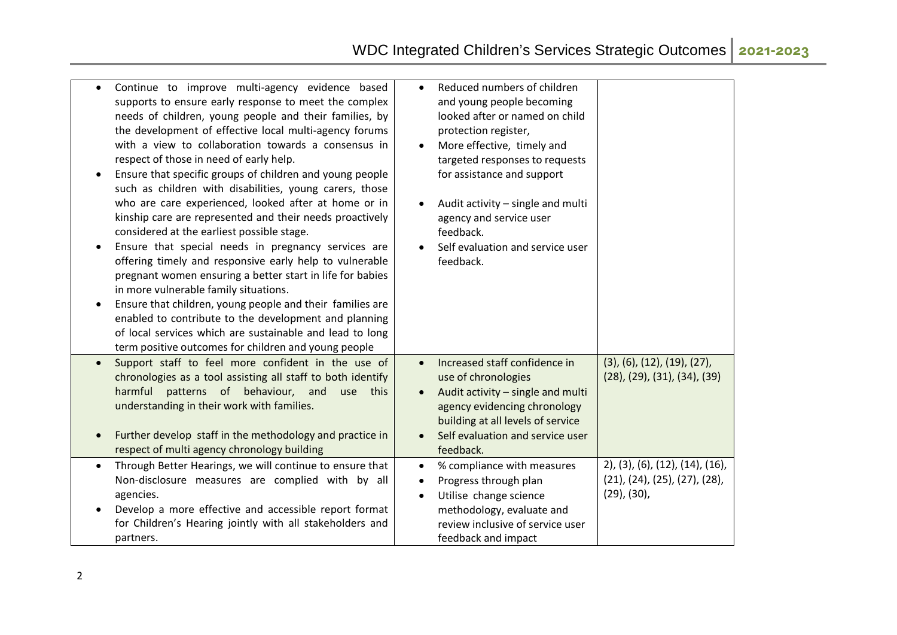|           | Continue to improve multi-agency evidence based<br>supports to ensure early response to meet the complex<br>needs of children, young people and their families, by<br>the development of effective local multi-agency forums<br>with a view to collaboration towards a consensus in<br>respect of those in need of early help.<br>Ensure that specific groups of children and young people<br>such as children with disabilities, young carers, those<br>who are care experienced, looked after at home or in<br>kinship care are represented and their needs proactively<br>considered at the earliest possible stage.<br>Ensure that special needs in pregnancy services are<br>offering timely and responsive early help to vulnerable<br>pregnant women ensuring a better start in life for babies<br>in more vulnerable family situations.<br>Ensure that children, young people and their families are<br>enabled to contribute to the development and planning<br>of local services which are sustainable and lead to long | Reduced numbers of children<br>and young people becoming<br>looked after or named on child<br>protection register,<br>More effective, timely and<br>targeted responses to requests<br>for assistance and support<br>Audit activity - single and multi<br>agency and service user<br>feedback.<br>Self evaluation and service user<br>feedback. |                                                                                          |
|-----------|-----------------------------------------------------------------------------------------------------------------------------------------------------------------------------------------------------------------------------------------------------------------------------------------------------------------------------------------------------------------------------------------------------------------------------------------------------------------------------------------------------------------------------------------------------------------------------------------------------------------------------------------------------------------------------------------------------------------------------------------------------------------------------------------------------------------------------------------------------------------------------------------------------------------------------------------------------------------------------------------------------------------------------------|------------------------------------------------------------------------------------------------------------------------------------------------------------------------------------------------------------------------------------------------------------------------------------------------------------------------------------------------|------------------------------------------------------------------------------------------|
| $\bullet$ | term positive outcomes for children and young people<br>Support staff to feel more confident in the use of<br>chronologies as a tool assisting all staff to both identify<br>harmful<br>patterns of behaviour, and<br>use<br>this<br>understanding in their work with families.<br>Further develop staff in the methodology and practice in<br>respect of multi agency chronology building                                                                                                                                                                                                                                                                                                                                                                                                                                                                                                                                                                                                                                        | Increased staff confidence in<br>use of chronologies<br>Audit activity - single and multi<br>agency evidencing chronology<br>building at all levels of service<br>Self evaluation and service user<br>feedback.                                                                                                                                | $(3)$ , $(6)$ , $(12)$ , $(19)$ , $(27)$ ,<br>$(28)$ , $(29)$ , $(31)$ , $(34)$ , $(39)$ |
|           | Through Better Hearings, we will continue to ensure that<br>Non-disclosure measures are complied with by all<br>agencies.<br>Develop a more effective and accessible report format<br>for Children's Hearing jointly with all stakeholders and<br>partners.                                                                                                                                                                                                                                                                                                                                                                                                                                                                                                                                                                                                                                                                                                                                                                       | % compliance with measures<br>Progress through plan<br>Utilise change science<br>methodology, evaluate and<br>review inclusive of service user<br>feedback and impact                                                                                                                                                                          | (2), (3), (6), (12), (14), (16),<br>(21), (24), (25), (27), (28),<br>$(29)$ , $(30)$ ,   |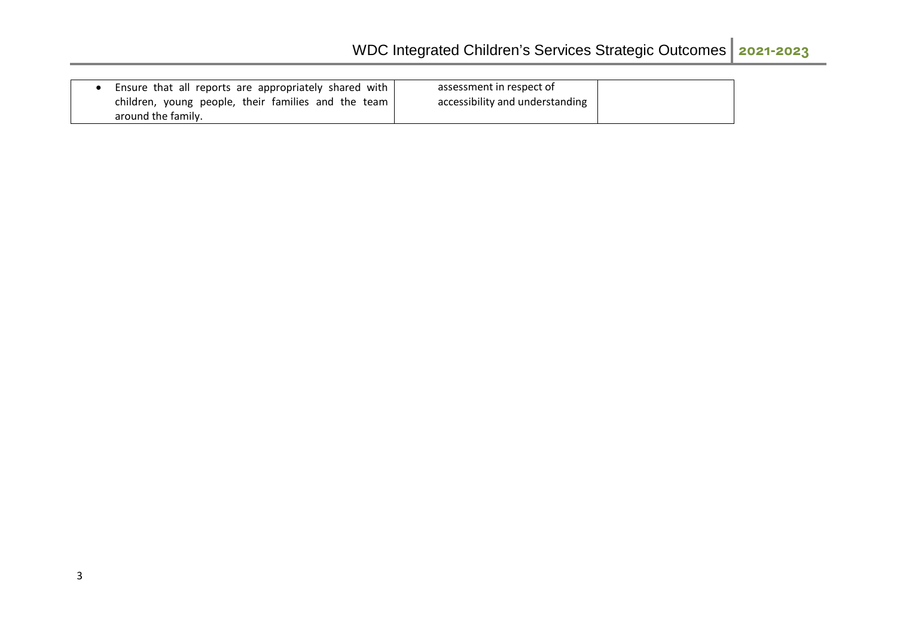| Ensure that all reports are appropriately shared with | assessment in respect of        |  |
|-------------------------------------------------------|---------------------------------|--|
| children, young people, their families and the team I | accessibility and understanding |  |
| around the family.                                    |                                 |  |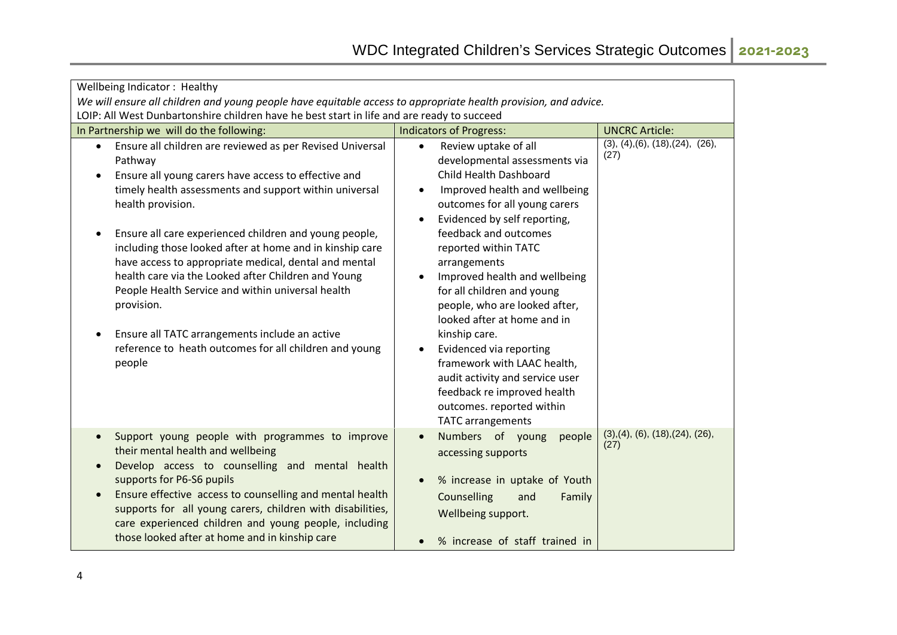| Wellbeing Indicator: Healthy                                                                                       |                                                                    |                                                           |  |
|--------------------------------------------------------------------------------------------------------------------|--------------------------------------------------------------------|-----------------------------------------------------------|--|
| We will ensure all children and young people have equitable access to appropriate health provision, and advice.    |                                                                    |                                                           |  |
| LOIP: All West Dunbartonshire children have he best start in life and are ready to succeed                         |                                                                    |                                                           |  |
| In Partnership we will do the following:                                                                           | <b>Indicators of Progress:</b>                                     | <b>UNCRC Article:</b><br>(3), (4), (6), (18), (24), (26), |  |
| Ensure all children are reviewed as per Revised Universal<br>$\bullet$                                             | Review uptake of all<br>$\bullet$                                  | (27)                                                      |  |
| Pathway                                                                                                            | developmental assessments via                                      |                                                           |  |
| Ensure all young carers have access to effective and                                                               | Child Health Dashboard                                             |                                                           |  |
| timely health assessments and support within universal                                                             | Improved health and wellbeing<br>$\bullet$                         |                                                           |  |
| health provision.                                                                                                  | outcomes for all young carers                                      |                                                           |  |
|                                                                                                                    | Evidenced by self reporting,<br>$\bullet$<br>feedback and outcomes |                                                           |  |
| Ensure all care experienced children and young people,<br>including those looked after at home and in kinship care | reported within TATC                                               |                                                           |  |
| have access to appropriate medical, dental and mental                                                              | arrangements                                                       |                                                           |  |
| health care via the Looked after Children and Young                                                                | Improved health and wellbeing<br>$\bullet$                         |                                                           |  |
| People Health Service and within universal health                                                                  | for all children and young                                         |                                                           |  |
| provision.                                                                                                         | people, who are looked after,                                      |                                                           |  |
|                                                                                                                    | looked after at home and in                                        |                                                           |  |
| Ensure all TATC arrangements include an active                                                                     | kinship care.                                                      |                                                           |  |
| reference to heath outcomes for all children and young                                                             | Evidenced via reporting                                            |                                                           |  |
| people                                                                                                             | framework with LAAC health,                                        |                                                           |  |
|                                                                                                                    | audit activity and service user                                    |                                                           |  |
|                                                                                                                    | feedback re improved health                                        |                                                           |  |
|                                                                                                                    | outcomes. reported within                                          |                                                           |  |
|                                                                                                                    | <b>TATC</b> arrangements                                           |                                                           |  |
| Support young people with programmes to improve                                                                    | Numbers of young<br>people<br>$\bullet$                            | (3), (4), (6), (18), (24), (26),                          |  |
| their mental health and wellbeing                                                                                  | accessing supports                                                 | (27)                                                      |  |
| Develop access to counselling and mental health<br>$\bullet$                                                       |                                                                    |                                                           |  |
| supports for P6-S6 pupils                                                                                          | % increase in uptake of Youth<br>$\bullet$                         |                                                           |  |
| Ensure effective access to counselling and mental health                                                           | Counselling<br>Family<br>and                                       |                                                           |  |
| supports for all young carers, children with disabilities,                                                         | Wellbeing support.                                                 |                                                           |  |
| care experienced children and young people, including                                                              |                                                                    |                                                           |  |
| those looked after at home and in kinship care                                                                     | % increase of staff trained in<br>$\bullet$                        |                                                           |  |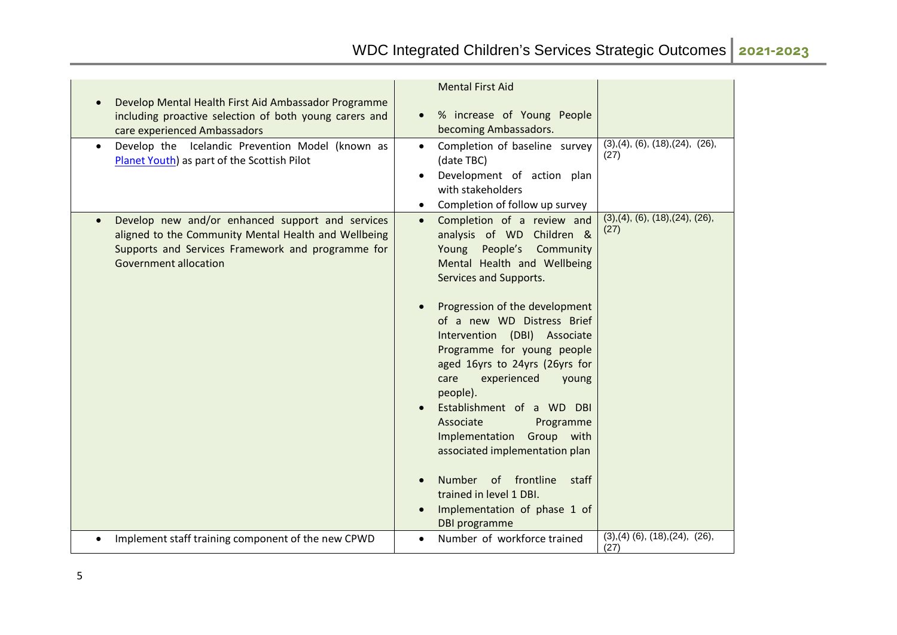|                                                                                                                                                                                                            | <b>Mental First Aid</b>                                                                                                                                                                                                                                                                                                                                                                                                                                                                                                                                                                                                                        |                                             |
|------------------------------------------------------------------------------------------------------------------------------------------------------------------------------------------------------------|------------------------------------------------------------------------------------------------------------------------------------------------------------------------------------------------------------------------------------------------------------------------------------------------------------------------------------------------------------------------------------------------------------------------------------------------------------------------------------------------------------------------------------------------------------------------------------------------------------------------------------------------|---------------------------------------------|
| Develop Mental Health First Aid Ambassador Programme<br>including proactive selection of both young carers and<br>care experienced Ambassadors                                                             | % increase of Young People<br>becoming Ambassadors.                                                                                                                                                                                                                                                                                                                                                                                                                                                                                                                                                                                            |                                             |
| Develop the Icelandic Prevention Model (known as<br>$\bullet$<br>Planet Youth) as part of the Scottish Pilot                                                                                               | Completion of baseline survey<br>(date TBC)<br>Development of action plan<br>$\bullet$<br>with stakeholders<br>Completion of follow up survey                                                                                                                                                                                                                                                                                                                                                                                                                                                                                                  | (3), (4), (6), (18), (24), (26),<br>(27)    |
| Develop new and/or enhanced support and services<br>$\bullet$<br>aligned to the Community Mental Health and Wellbeing<br>Supports and Services Framework and programme for<br><b>Government allocation</b> | Completion of a review and<br>$\bullet$<br>analysis of WD Children &<br>People's Community<br>Young<br>Mental Health and Wellbeing<br>Services and Supports.<br>Progression of the development<br>$\bullet$<br>of a new WD Distress Brief<br>Intervention (DBI) Associate<br>Programme for young people<br>aged 16yrs to 24yrs (26yrs for<br>experienced<br>care<br>young<br>people).<br>Establishment of a WD DBI<br>Associate<br>Programme<br>Implementation Group with<br>associated implementation plan<br>of frontline<br>Number<br>staff<br>$\bullet$<br>trained in level 1 DBI.<br>Implementation of phase 1 of<br><b>DBI</b> programme | (3), (4), (6), (18), (24), (26),<br>(27)    |
| Implement staff training component of the new CPWD                                                                                                                                                         | Number of workforce trained<br>$\bullet$                                                                                                                                                                                                                                                                                                                                                                                                                                                                                                                                                                                                       | $(3), (4)$ $(6), (18), (24), (26),$<br>(27) |
|                                                                                                                                                                                                            |                                                                                                                                                                                                                                                                                                                                                                                                                                                                                                                                                                                                                                                |                                             |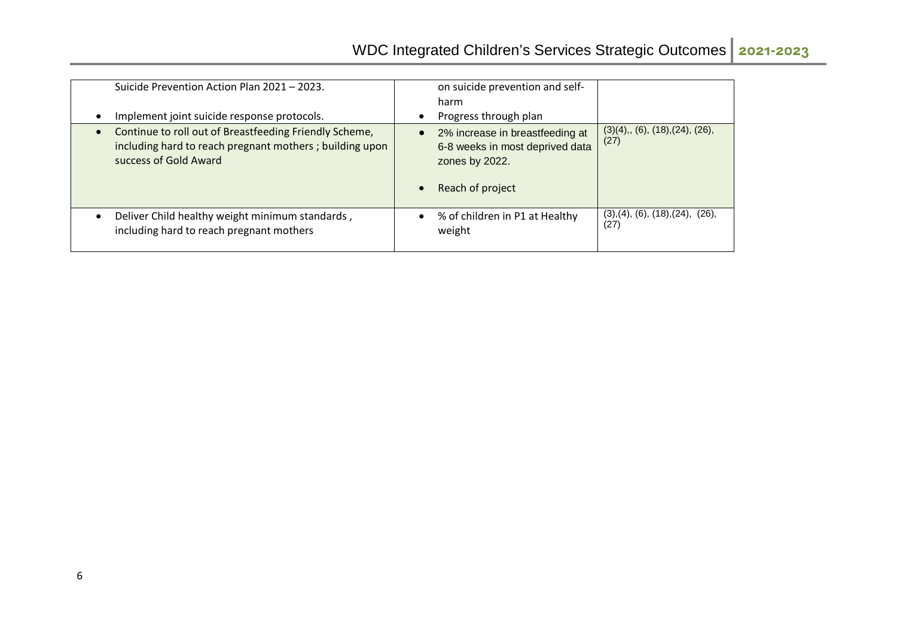| Suicide Prevention Action Plan 2021 - 2023.                                                                                                | on suicide prevention and self-<br>harm                                                                               |                                                        |
|--------------------------------------------------------------------------------------------------------------------------------------------|-----------------------------------------------------------------------------------------------------------------------|--------------------------------------------------------|
| Implement joint suicide response protocols.                                                                                                | Progress through plan                                                                                                 |                                                        |
| Continue to roll out of Breastfeeding Friendly Scheme,<br>including hard to reach pregnant mothers; building upon<br>success of Gold Award | 2% increase in breastfeeding at<br>6-8 weeks in most deprived data<br>zones by 2022.<br>Reach of project<br>$\bullet$ | $(3)(4)$ ,, $(6)$ , $(18)$ , $(24)$ , $(26)$ ,<br>(27) |
| Deliver Child healthy weight minimum standards,<br>including hard to reach pregnant mothers                                                | % of children in P1 at Healthy<br>$\bullet$<br>weight                                                                 | (3), (4), (6), (18), (24), (26),<br>(27)               |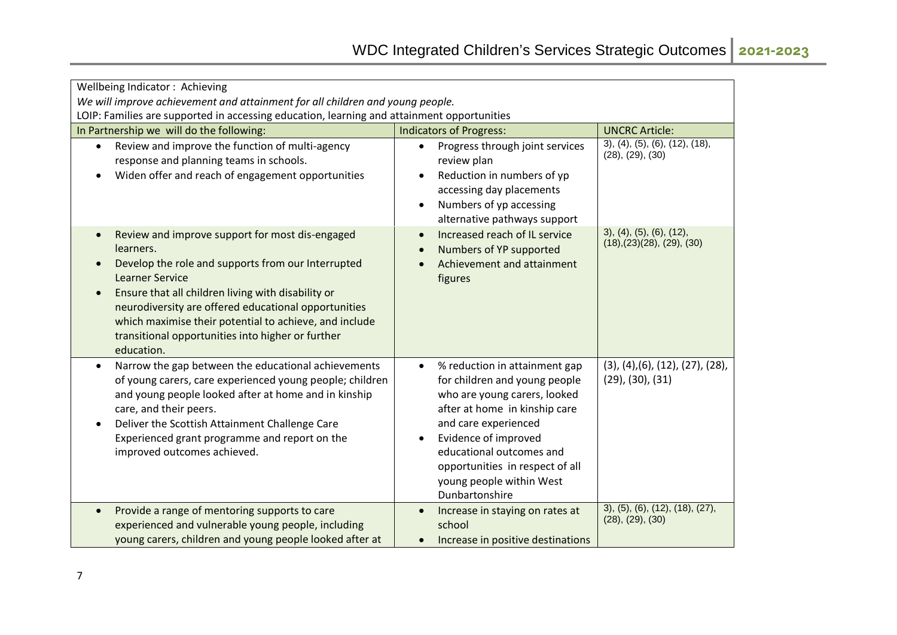| Wellbeing Indicator: Achieving<br>We will improve achievement and attainment for all children and young people.<br>LOIP: Families are supported in accessing education, learning and attainment opportunities                                                                                                                                                                                        |                                                                                                                                                                                                                                                                                                                        |                                                                                |  |
|------------------------------------------------------------------------------------------------------------------------------------------------------------------------------------------------------------------------------------------------------------------------------------------------------------------------------------------------------------------------------------------------------|------------------------------------------------------------------------------------------------------------------------------------------------------------------------------------------------------------------------------------------------------------------------------------------------------------------------|--------------------------------------------------------------------------------|--|
| In Partnership we will do the following:                                                                                                                                                                                                                                                                                                                                                             | <b>Indicators of Progress:</b>                                                                                                                                                                                                                                                                                         | <b>UNCRC Article:</b>                                                          |  |
| Review and improve the function of multi-agency<br>response and planning teams in schools.<br>Widen offer and reach of engagement opportunities                                                                                                                                                                                                                                                      | Progress through joint services<br>review plan<br>Reduction in numbers of yp<br>$\bullet$<br>accessing day placements<br>Numbers of yp accessing<br>$\bullet$<br>alternative pathways support                                                                                                                          | $3)$ , $(4)$ , $(5)$ , $(6)$ , $(12)$ , $(18)$ ,<br>(28), (29), (30)           |  |
| Review and improve support for most dis-engaged<br>$\bullet$<br>learners.<br>Develop the role and supports from our Interrupted<br><b>Learner Service</b><br>Ensure that all children living with disability or<br>neurodiversity are offered educational opportunities<br>which maximise their potential to achieve, and include<br>transitional opportunities into higher or further<br>education. | Increased reach of IL service<br>$\bullet$<br>Numbers of YP supported<br>Achievement and attainment<br>figures                                                                                                                                                                                                         | 3), (4), (5), (6), (12),<br>(18), (23)(28), (29), (30)                         |  |
| Narrow the gap between the educational achievements<br>$\bullet$<br>of young carers, care experienced young people; children<br>and young people looked after at home and in kinship<br>care, and their peers.<br>Deliver the Scottish Attainment Challenge Care<br>Experienced grant programme and report on the<br>improved outcomes achieved.                                                     | % reduction in attainment gap<br>$\bullet$<br>for children and young people<br>who are young carers, looked<br>after at home in kinship care<br>and care experienced<br>Evidence of improved<br>$\bullet$<br>educational outcomes and<br>opportunities in respect of all<br>young people within West<br>Dunbartonshire | $(3)$ , $(4)$ , $(6)$ , $(12)$ , $(27)$ , $(28)$ ,<br>$(29)$ , $(30)$ , $(31)$ |  |
| Provide a range of mentoring supports to care<br>experienced and vulnerable young people, including<br>young carers, children and young people looked after at                                                                                                                                                                                                                                       | Increase in staying on rates at<br>school<br>Increase in positive destinations<br>$\bullet$                                                                                                                                                                                                                            | 3), (5), (6), (12), (18), (27),<br>(28), (29), (30)                            |  |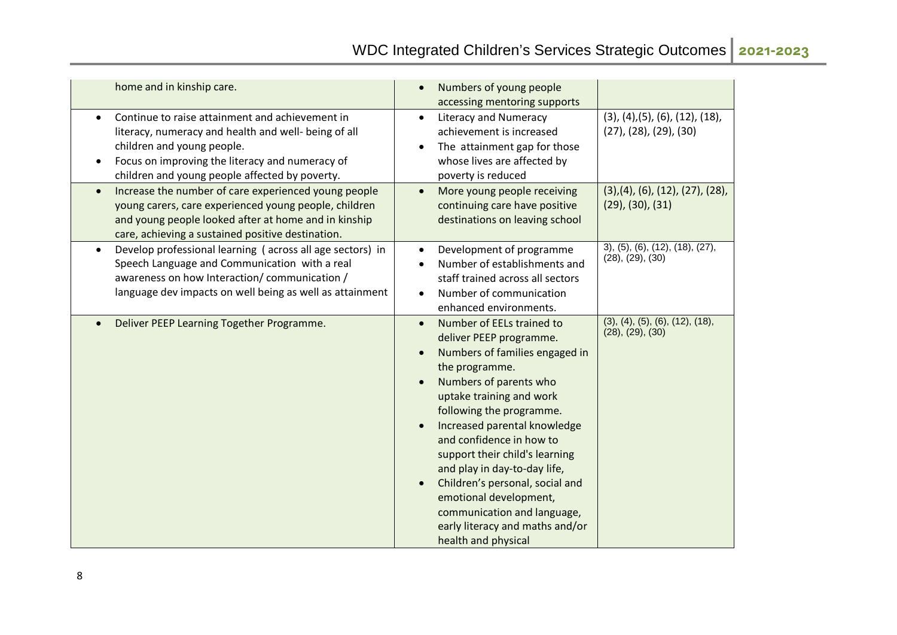| home and in kinship care.                                                                                                                                                                                                                               | Numbers of young people<br>$\bullet$<br>accessing mentoring supports                                                                                                                                                                                                                                                                                                                                                                                                                                                                            |                                                                                        |
|---------------------------------------------------------------------------------------------------------------------------------------------------------------------------------------------------------------------------------------------------------|-------------------------------------------------------------------------------------------------------------------------------------------------------------------------------------------------------------------------------------------------------------------------------------------------------------------------------------------------------------------------------------------------------------------------------------------------------------------------------------------------------------------------------------------------|----------------------------------------------------------------------------------------|
| Continue to raise attainment and achievement in<br>$\bullet$<br>literacy, numeracy and health and well- being of all<br>children and young people.<br>Focus on improving the literacy and numeracy of<br>children and young people affected by poverty. | Literacy and Numeracy<br>$\bullet$<br>achievement is increased<br>The attainment gap for those<br>$\bullet$<br>whose lives are affected by<br>poverty is reduced                                                                                                                                                                                                                                                                                                                                                                                | $(3)$ , $(4)$ , $(5)$ , $(6)$ , $(12)$ , $(18)$ ,<br>$(27)$ , $(28)$ , $(29)$ , $(30)$ |
| Increase the number of care experienced young people<br>young carers, care experienced young people, children<br>and young people looked after at home and in kinship<br>care, achieving a sustained positive destination.                              | More young people receiving<br>$\bullet$<br>continuing care have positive<br>destinations on leaving school                                                                                                                                                                                                                                                                                                                                                                                                                                     | (3), (4), (6), (12), (27), (28),<br>$(29)$ , $(30)$ , $(31)$                           |
| Develop professional learning (across all age sectors) in<br>$\bullet$<br>Speech Language and Communication with a real<br>awareness on how Interaction/communication/<br>language dev impacts on well being as well as attainment                      | Development of programme<br>$\bullet$<br>Number of establishments and<br>$\bullet$<br>staff trained across all sectors<br>Number of communication<br>$\bullet$<br>enhanced environments.                                                                                                                                                                                                                                                                                                                                                        | 3), (5), (6), (12), (18), (27),<br>(28), (29), (30)                                    |
| Deliver PEEP Learning Together Programme.                                                                                                                                                                                                               | Number of EELs trained to<br>$\bullet$<br>deliver PEEP programme.<br>Numbers of families engaged in<br>$\bullet$<br>the programme.<br>Numbers of parents who<br>$\bullet$<br>uptake training and work<br>following the programme.<br>Increased parental knowledge<br>$\bullet$<br>and confidence in how to<br>support their child's learning<br>and play in day-to-day life,<br>Children's personal, social and<br>$\bullet$<br>emotional development,<br>communication and language,<br>early literacy and maths and/or<br>health and physical | (3), (4), (5), (6), (12), (18),<br>(28), (29), (30)                                    |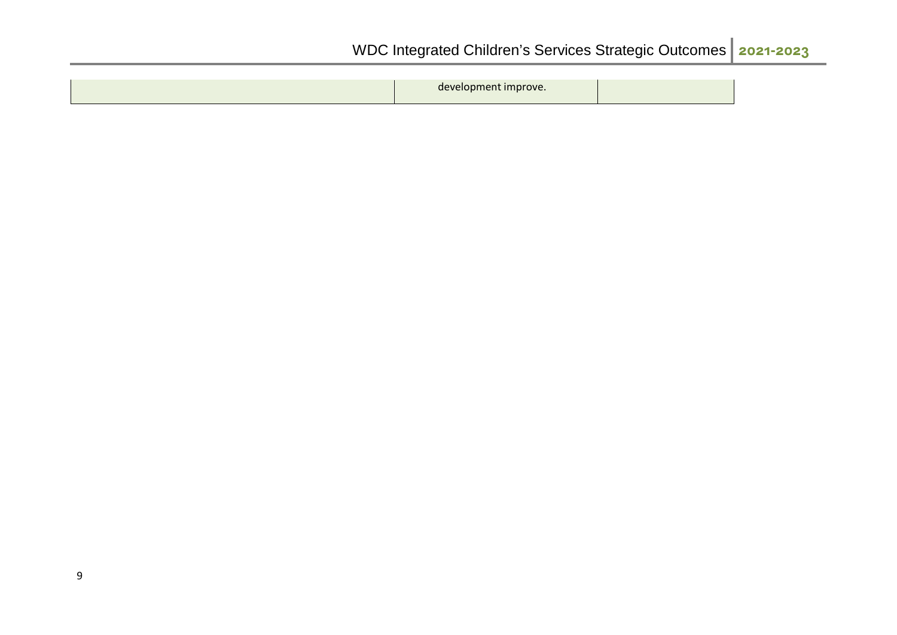| de'<br>ומסופ<br>,,,<br>. .<br>UVC. |  |
|------------------------------------|--|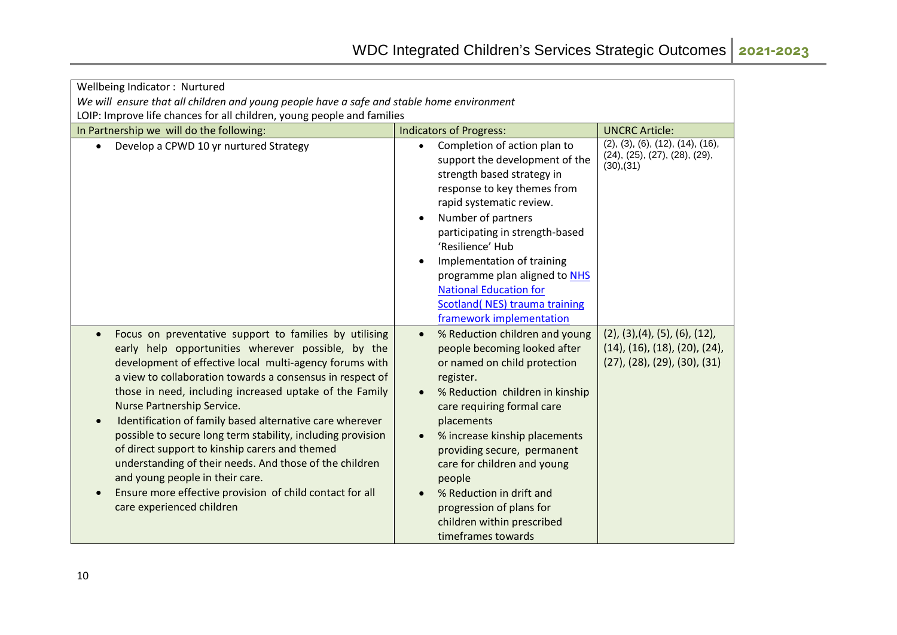| Wellbeing Indicator: Nurtured                                                                                                                                                                                                                                                                                                                                                                                                                                                                                                                                                                                                                                                                     |                                                                                                                                                                                                                                                                                                                                                                                                                                                                     |                                                                                                                              |
|---------------------------------------------------------------------------------------------------------------------------------------------------------------------------------------------------------------------------------------------------------------------------------------------------------------------------------------------------------------------------------------------------------------------------------------------------------------------------------------------------------------------------------------------------------------------------------------------------------------------------------------------------------------------------------------------------|---------------------------------------------------------------------------------------------------------------------------------------------------------------------------------------------------------------------------------------------------------------------------------------------------------------------------------------------------------------------------------------------------------------------------------------------------------------------|------------------------------------------------------------------------------------------------------------------------------|
| We will ensure that all children and young people have a safe and stable home environment                                                                                                                                                                                                                                                                                                                                                                                                                                                                                                                                                                                                         |                                                                                                                                                                                                                                                                                                                                                                                                                                                                     |                                                                                                                              |
| LOIP: Improve life chances for all children, young people and families                                                                                                                                                                                                                                                                                                                                                                                                                                                                                                                                                                                                                            |                                                                                                                                                                                                                                                                                                                                                                                                                                                                     |                                                                                                                              |
| In Partnership we will do the following:                                                                                                                                                                                                                                                                                                                                                                                                                                                                                                                                                                                                                                                          | <b>Indicators of Progress:</b>                                                                                                                                                                                                                                                                                                                                                                                                                                      | <b>UNCRC Article:</b>                                                                                                        |
| Develop a CPWD 10 yr nurtured Strategy                                                                                                                                                                                                                                                                                                                                                                                                                                                                                                                                                                                                                                                            | Completion of action plan to<br>$\bullet$<br>support the development of the<br>strength based strategy in<br>response to key themes from<br>rapid systematic review.<br>Number of partners<br>$\bullet$<br>participating in strength-based<br>'Resilience' Hub<br>Implementation of training<br>programme plan aligned to NHS<br><b>National Education for</b><br><b>Scotland</b> (NES) trauma training<br>framework implementation                                 | (2), (3), (6), (12), (14), (16),<br>(24), (25), (27), (28), (29),<br>(30),(31)                                               |
| Focus on preventative support to families by utilising<br>early help opportunities wherever possible, by the<br>development of effective local multi-agency forums with<br>a view to collaboration towards a consensus in respect of<br>those in need, including increased uptake of the Family<br>Nurse Partnership Service.<br>Identification of family based alternative care wherever<br>possible to secure long term stability, including provision<br>of direct support to kinship carers and themed<br>understanding of their needs. And those of the children<br>and young people in their care.<br>Ensure more effective provision of child contact for all<br>care experienced children | % Reduction children and young<br>$\bullet$<br>people becoming looked after<br>or named on child protection<br>register.<br>% Reduction children in kinship<br>$\bullet$<br>care requiring formal care<br>placements<br>% increase kinship placements<br>$\bullet$<br>providing secure, permanent<br>care for children and young<br>people<br>% Reduction in drift and<br>$\bullet$<br>progression of plans for<br>children within prescribed<br>timeframes towards | (2), (3), (4), (5), (6), (12),<br>$(14)$ , $(16)$ , $(18)$ , $(20)$ , $(24)$ ,<br>$(27)$ , $(28)$ , $(29)$ , $(30)$ , $(31)$ |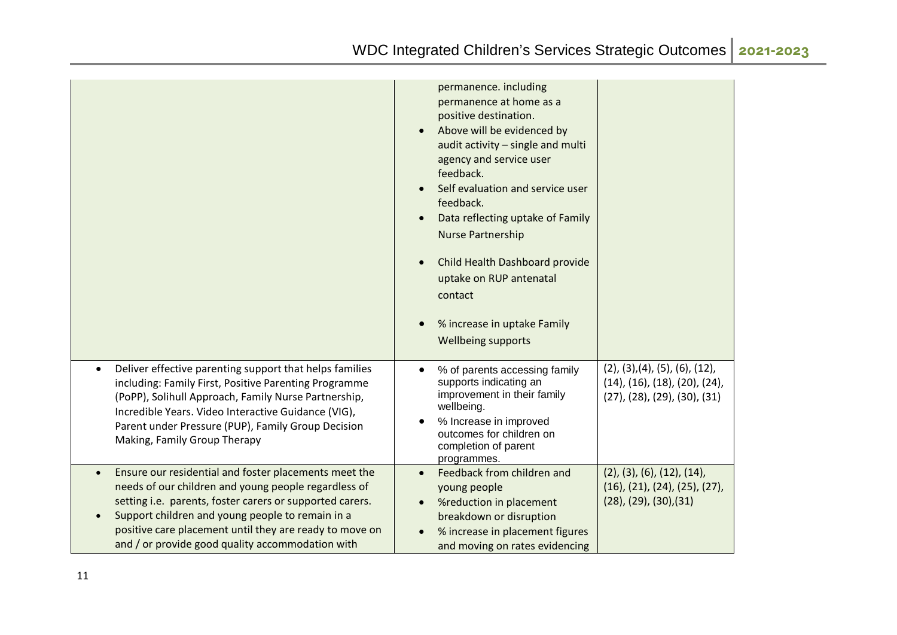|                                                                                                                                                                                                                                                                                                                                                           | permanence. including<br>permanence at home as a<br>positive destination.<br>Above will be evidenced by<br>audit activity - single and multi<br>agency and service user<br>feedback.<br>Self evaluation and service user<br>feedback.<br>Data reflecting uptake of Family<br><b>Nurse Partnership</b><br>Child Health Dashboard provide<br>uptake on RUP antenatal<br>contact<br>% increase in uptake Family<br>Wellbeing supports |                                                                                                                                                |
|-----------------------------------------------------------------------------------------------------------------------------------------------------------------------------------------------------------------------------------------------------------------------------------------------------------------------------------------------------------|------------------------------------------------------------------------------------------------------------------------------------------------------------------------------------------------------------------------------------------------------------------------------------------------------------------------------------------------------------------------------------------------------------------------------------|------------------------------------------------------------------------------------------------------------------------------------------------|
| Deliver effective parenting support that helps families<br>including: Family First, Positive Parenting Programme<br>(PoPP), Solihull Approach, Family Nurse Partnership,<br>Incredible Years. Video Interactive Guidance (VIG),<br>Parent under Pressure (PUP), Family Group Decision<br>Making, Family Group Therapy                                     | % of parents accessing family<br>supports indicating an<br>improvement in their family<br>wellbeing.<br>% Increase in improved<br>outcomes for children on<br>completion of parent<br>programmes.                                                                                                                                                                                                                                  | $(2)$ , $(3)$ , $(4)$ , $(5)$ , $(6)$ , $(12)$ ,<br>$(14)$ , $(16)$ , $(18)$ , $(20)$ , $(24)$ ,<br>$(27)$ , $(28)$ , $(29)$ , $(30)$ , $(31)$ |
| Ensure our residential and foster placements meet the<br>$\bullet$<br>needs of our children and young people regardless of<br>setting i.e. parents, foster carers or supported carers.<br>Support children and young people to remain in a<br>positive care placement until they are ready to move on<br>and / or provide good quality accommodation with | Feedback from children and<br>young people<br>%reduction in placement<br>breakdown or disruption<br>% increase in placement figures<br>and moving on rates evidencing                                                                                                                                                                                                                                                              | $(2)$ , $(3)$ , $(6)$ , $(12)$ , $(14)$ ,<br>$(16)$ , $(21)$ , $(24)$ , $(25)$ , $(27)$ ,<br>$(28)$ , $(29)$ , $(30)$ , $(31)$                 |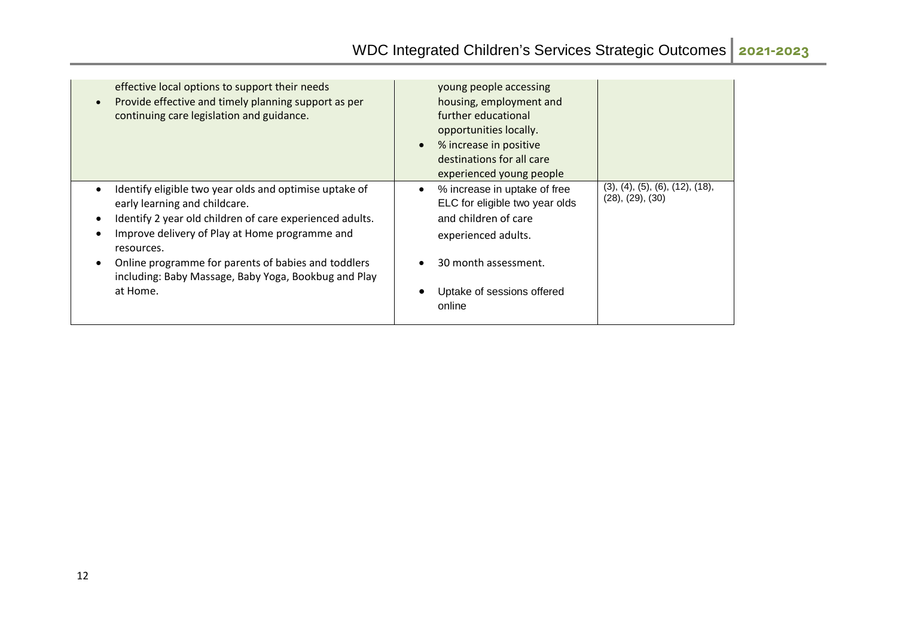| effective local options to support their needs<br>Provide effective and timely planning support as per<br>continuing care legislation and guidance.                                                                                                                                                                                            | young people accessing<br>housing, employment and<br>further educational<br>opportunities locally.<br>% increase in positive<br>destinations for all care<br>experienced young people |                                                     |
|------------------------------------------------------------------------------------------------------------------------------------------------------------------------------------------------------------------------------------------------------------------------------------------------------------------------------------------------|---------------------------------------------------------------------------------------------------------------------------------------------------------------------------------------|-----------------------------------------------------|
| Identify eligible two year olds and optimise uptake of<br>early learning and childcare.<br>Identify 2 year old children of care experienced adults.<br>Improve delivery of Play at Home programme and<br>resources.<br>Online programme for parents of babies and toddlers<br>including: Baby Massage, Baby Yoga, Bookbug and Play<br>at Home. | % increase in uptake of free<br>ELC for eligible two year olds<br>and children of care<br>experienced adults.<br>30 month assessment.<br>Uptake of sessions offered<br>online         | (3), (4), (5), (6), (12), (18),<br>(28), (29), (30) |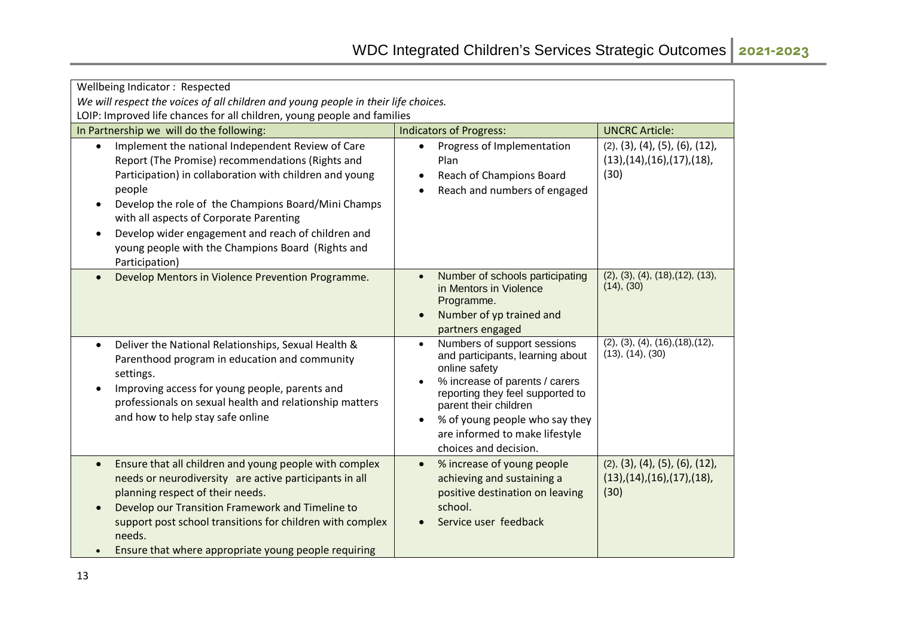| Wellbeing Indicator: Respected<br>We will respect the voices of all children and young people in their life choices.                                                                                                                                                                                                                                                                                                                |                                                                                                                                                                                                                                                                                                                     |                                                                                        |  |
|-------------------------------------------------------------------------------------------------------------------------------------------------------------------------------------------------------------------------------------------------------------------------------------------------------------------------------------------------------------------------------------------------------------------------------------|---------------------------------------------------------------------------------------------------------------------------------------------------------------------------------------------------------------------------------------------------------------------------------------------------------------------|----------------------------------------------------------------------------------------|--|
| LOIP: Improved life chances for all children, young people and families<br>In Partnership we will do the following:                                                                                                                                                                                                                                                                                                                 | <b>Indicators of Progress:</b>                                                                                                                                                                                                                                                                                      | <b>UNCRC Article:</b>                                                                  |  |
| Implement the national Independent Review of Care<br>$\bullet$<br>Report (The Promise) recommendations (Rights and<br>Participation) in collaboration with children and young<br>people<br>Develop the role of the Champions Board/Mini Champs<br>$\bullet$<br>with all aspects of Corporate Parenting<br>Develop wider engagement and reach of children and<br>young people with the Champions Board (Rights and<br>Participation) | Progress of Implementation<br>$\bullet$<br>Plan<br>Reach of Champions Board<br>$\bullet$<br>Reach and numbers of engaged<br>$\bullet$                                                                                                                                                                               | (2), (3), (4), (5), (6), (12),<br>$(13)$ , $(14)$ , $(16)$ , $(17)$ , $(18)$ ,<br>(30) |  |
| Develop Mentors in Violence Prevention Programme.                                                                                                                                                                                                                                                                                                                                                                                   | Number of schools participating<br>in Mentors in Violence<br>Programme.<br>Number of yp trained and<br>$\bullet$<br>partners engaged                                                                                                                                                                                | (2), (3), (4), (18), (12), (13),<br>(14), (30)                                         |  |
| Deliver the National Relationships, Sexual Health &<br>$\bullet$<br>Parenthood program in education and community<br>settings.<br>Improving access for young people, parents and<br>professionals on sexual health and relationship matters<br>and how to help stay safe online                                                                                                                                                     | Numbers of support sessions<br>$\bullet$<br>and participants, learning about<br>online safety<br>% increase of parents / carers<br>$\bullet$<br>reporting they feel supported to<br>parent their children<br>% of young people who say they<br>$\bullet$<br>are informed to make lifestyle<br>choices and decision. | (2), (3), (4), (16), (18), (12),<br>(13), (14), (30)                                   |  |
| Ensure that all children and young people with complex<br>$\bullet$<br>needs or neurodiversity are active participants in all<br>planning respect of their needs.<br>Develop our Transition Framework and Timeline to<br>support post school transitions for children with complex<br>needs.<br>Ensure that where appropriate young people requiring                                                                                | % increase of young people<br>$\bullet$<br>achieving and sustaining a<br>positive destination on leaving<br>school.<br>Service user feedback                                                                                                                                                                        | (2), (3), (4), (5), (6), (12),<br>$(13)$ , $(14)$ , $(16)$ , $(17)$ , $(18)$ ,<br>(30) |  |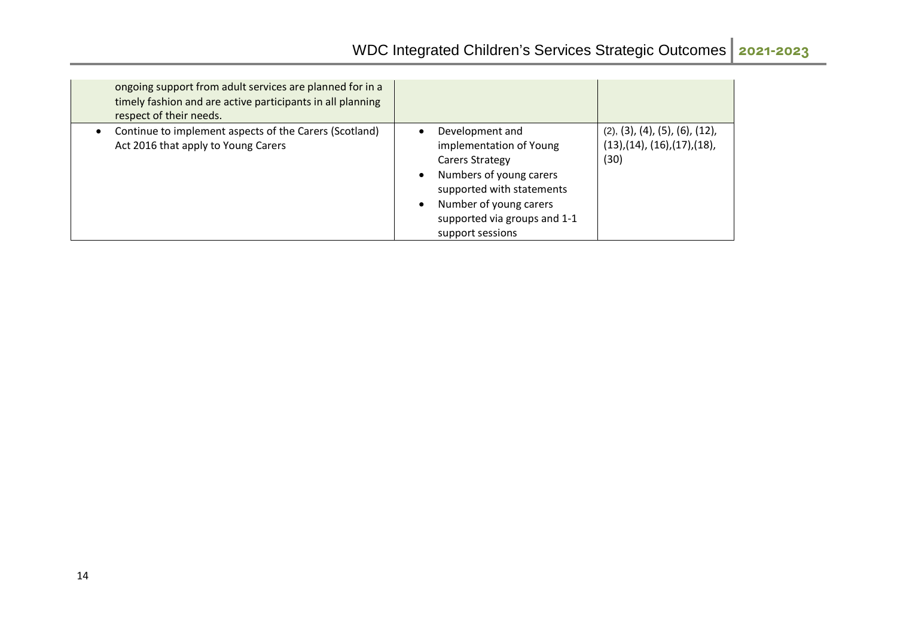| ongoing support from adult services are planned for in a<br>timely fashion and are active participants in all planning<br>respect of their needs. |                                                                                                                                                                                                                               |                                                                                        |
|---------------------------------------------------------------------------------------------------------------------------------------------------|-------------------------------------------------------------------------------------------------------------------------------------------------------------------------------------------------------------------------------|----------------------------------------------------------------------------------------|
| Continue to implement aspects of the Carers (Scotland)<br>Act 2016 that apply to Young Carers                                                     | Development and<br>implementation of Young<br>Carers Strategy<br>Numbers of young carers<br>$\bullet$<br>supported with statements<br>Number of young carers<br>$\bullet$<br>supported via groups and 1-1<br>support sessions | (2), (3), (4), (5), (6), (12),<br>$(13)$ , $(14)$ , $(16)$ , $(17)$ , $(18)$ ,<br>(30) |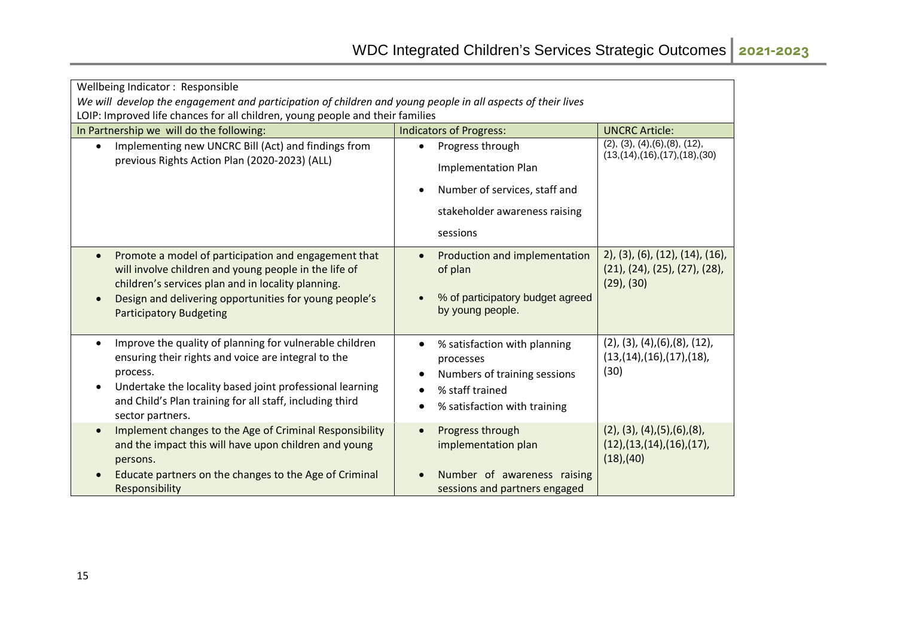| Wellbeing Indicator: Responsible                                                                                                                                                                                                                                                          |                                                                                                                                                                                  |                                                                                                      |  |
|-------------------------------------------------------------------------------------------------------------------------------------------------------------------------------------------------------------------------------------------------------------------------------------------|----------------------------------------------------------------------------------------------------------------------------------------------------------------------------------|------------------------------------------------------------------------------------------------------|--|
| We will develop the engagement and participation of children and young people in all aspects of their lives                                                                                                                                                                               |                                                                                                                                                                                  |                                                                                                      |  |
| LOIP: Improved life chances for all children, young people and their families                                                                                                                                                                                                             |                                                                                                                                                                                  |                                                                                                      |  |
| In Partnership we will do the following:                                                                                                                                                                                                                                                  | <b>Indicators of Progress:</b>                                                                                                                                                   | <b>UNCRC Article:</b>                                                                                |  |
| Implementing new UNCRC Bill (Act) and findings from<br>$\bullet$                                                                                                                                                                                                                          | Progress through<br>$\bullet$                                                                                                                                                    | (2), (3), (4), (6), (8), (12),<br>(13,(14),(16),(17),(18),(30)                                       |  |
| previous Rights Action Plan (2020-2023) (ALL)                                                                                                                                                                                                                                             | <b>Implementation Plan</b>                                                                                                                                                       |                                                                                                      |  |
|                                                                                                                                                                                                                                                                                           | Number of services, staff and<br>$\bullet$                                                                                                                                       |                                                                                                      |  |
|                                                                                                                                                                                                                                                                                           | stakeholder awareness raising                                                                                                                                                    |                                                                                                      |  |
|                                                                                                                                                                                                                                                                                           | sessions                                                                                                                                                                         |                                                                                                      |  |
| Promote a model of participation and engagement that<br>$\bullet$<br>will involve children and young people in the life of<br>children's services plan and in locality planning.<br>Design and delivering opportunities for young people's<br>$\bullet$<br><b>Participatory Budgeting</b> | Production and implementation<br>$\bullet$<br>of plan<br>% of participatory budget agreed<br>$\bullet$<br>by young people.                                                       | $2$ , (3), (6), (12), (14), (16),<br>$(21)$ , $(24)$ , $(25)$ , $(27)$ , $(28)$ ,<br>$(29)$ , $(30)$ |  |
| Improve the quality of planning for vulnerable children<br>ensuring their rights and voice are integral to the<br>process.<br>Undertake the locality based joint professional learning<br>and Child's Plan training for all staff, including third<br>sector partners.                    | % satisfaction with planning<br>$\bullet$<br>processes<br>Numbers of training sessions<br>$\bullet$<br>% staff trained<br>$\bullet$<br>% satisfaction with training<br>$\bullet$ | $(2)$ , $(3)$ , $(4)$ , $(6)$ , $(8)$ , $(12)$ ,<br>(13,(14),(16),(17),(18),<br>(30)                 |  |
| Implement changes to the Age of Criminal Responsibility<br>$\bullet$<br>and the impact this will have upon children and young<br>persons.                                                                                                                                                 | Progress through<br>$\bullet$<br>implementation plan                                                                                                                             | $(2)$ , $(3)$ , $(4)$ , $(5)$ , $(6)$ , $(8)$ ,<br>(12),(13,(14),(16),(17),<br>$(18)$ , $(40)$       |  |
| Educate partners on the changes to the Age of Criminal<br>Responsibility                                                                                                                                                                                                                  | Number of awareness raising<br>sessions and partners engaged                                                                                                                     |                                                                                                      |  |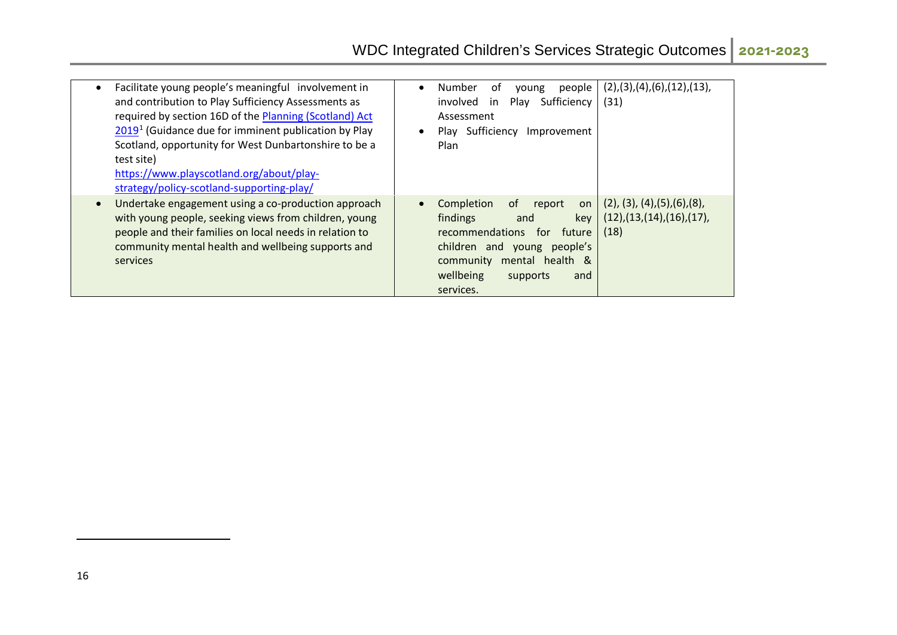<span id="page-15-0"></span>

| Facilitate young people's meaningful involvement in<br>and contribution to Play Sufficiency Assessments as<br>required by section 16D of the Planning (Scotland) Act<br>2019 <sup>1</sup> (Guidance due for imminent publication by Play<br>Scotland, opportunity for West Dunbartonshire to be a<br>test site)<br>https://www.playscotland.org/about/play-<br>strategy/policy-scotland-supporting-play/ | Number<br>.ot<br>people<br>$\bullet$<br>young<br>Sufficiency<br>involved<br>Play<br>in<br>Assessment<br>Play Sufficiency<br>Improvement<br>Plan                                                               | (2), (3), (4), (6), (12), (13),<br>(31)                                             |
|----------------------------------------------------------------------------------------------------------------------------------------------------------------------------------------------------------------------------------------------------------------------------------------------------------------------------------------------------------------------------------------------------------|---------------------------------------------------------------------------------------------------------------------------------------------------------------------------------------------------------------|-------------------------------------------------------------------------------------|
| Undertake engagement using a co-production approach<br>with young people, seeking views from children, young<br>people and their families on local needs in relation to<br>community mental health and wellbeing supports and<br>services                                                                                                                                                                | Completion<br>0f<br>report<br>on<br>findings<br>key<br>and<br>recommendations<br>future<br>for<br>children and young<br>people's<br>community<br>mental health &<br>wellbeing<br>supports<br>and<br>services. | $(2)$ , $(3)$ , $(4)$ , $(5)$ , $(6)$ , $(8)$ ,<br>(12),(13,(14),(16),(17),<br>(18) |

.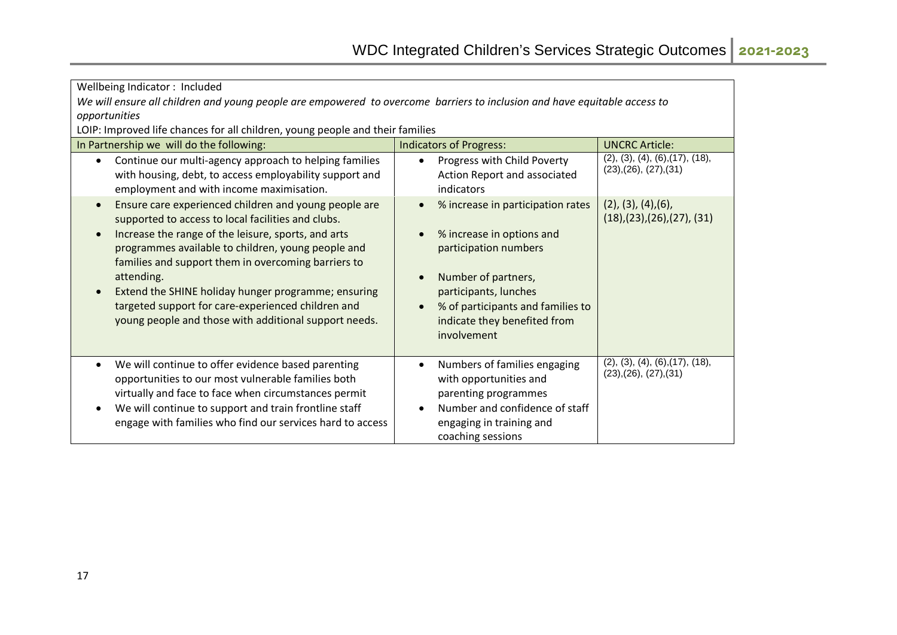| Wellbeing Indicator: Included                                                                                             |                                                |                                                                               |  |
|---------------------------------------------------------------------------------------------------------------------------|------------------------------------------------|-------------------------------------------------------------------------------|--|
| We will ensure all children and young people are empowered to overcome barriers to inclusion and have equitable access to |                                                |                                                                               |  |
| opportunities                                                                                                             |                                                |                                                                               |  |
| LOIP: Improved life chances for all children, young people and their families                                             |                                                |                                                                               |  |
| In Partnership we will do the following:                                                                                  | <b>Indicators of Progress:</b>                 | <b>UNCRC Article:</b>                                                         |  |
| Continue our multi-agency approach to helping families<br>$\bullet$                                                       | Progress with Child Poverty<br>$\bullet$       | (2), (3), (4), (6), (17), (18),<br>(23),(26),(27),(31)                        |  |
| with housing, debt, to access employability support and                                                                   | Action Report and associated                   |                                                                               |  |
| employment and with income maximisation.                                                                                  | indicators                                     |                                                                               |  |
| Ensure care experienced children and young people are<br>$\bullet$<br>supported to access to local facilities and clubs.  | % increase in participation rates<br>$\bullet$ | $(2)$ , $(3)$ , $(4)$ , $(6)$ ,<br>$(18)$ , $(23)$ , $(26)$ , $(27)$ , $(31)$ |  |
| Increase the range of the leisure, sports, and arts                                                                       | % increase in options and<br>$\bullet$         |                                                                               |  |
| programmes available to children, young people and                                                                        | participation numbers                          |                                                                               |  |
| families and support them in overcoming barriers to                                                                       |                                                |                                                                               |  |
| attending.                                                                                                                | Number of partners,<br>$\bullet$               |                                                                               |  |
| Extend the SHINE holiday hunger programme; ensuring                                                                       | participants, lunches                          |                                                                               |  |
| targeted support for care-experienced children and                                                                        | % of participants and families to<br>$\bullet$ |                                                                               |  |
| young people and those with additional support needs.                                                                     | indicate they benefited from                   |                                                                               |  |
|                                                                                                                           | involvement                                    |                                                                               |  |
|                                                                                                                           |                                                |                                                                               |  |
| We will continue to offer evidence based parenting<br>$\bullet$                                                           | Numbers of families engaging<br>$\bullet$      | (2), (3), (4), (6), (17), (18),<br>(23),(26),(27),(31)                        |  |
| opportunities to our most vulnerable families both                                                                        | with opportunities and                         |                                                                               |  |
| virtually and face to face when circumstances permit                                                                      | parenting programmes                           |                                                                               |  |
| We will continue to support and train frontline staff                                                                     | Number and confidence of staff<br>$\bullet$    |                                                                               |  |
| engage with families who find our services hard to access                                                                 | engaging in training and                       |                                                                               |  |
|                                                                                                                           | coaching sessions                              |                                                                               |  |